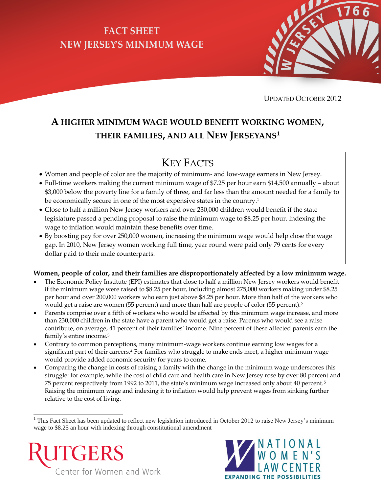# **FACT SHEET NEW JERSEY'S MINIMUM WAGE**



UPDATED OCTOBER 2012

## **A HIGHER MINIMUM WAGE WOULD BENEFIT WORKING WOMEN, THEIR FAMILIES, AND ALL NEW JERSEYANS<sup>1</sup>**

# KEY FACTS

- Women and people of color are the majority of minimum- and low-wage earners in New Jersey.
- Full-time workers making the current minimum wage of \$7.25 per hour earn \$14,500 annually about \$3,000 below the poverty line for a family of three, and far less than the amount needed for a family to be economically secure in one of the most expensive states in the country.<sup>1</sup>
- Close to half a million New Jersey workers and over 230,000 children would benefit if the state legislature passed a pending proposal to raise the minimum wage to \$8.25 per hour. Indexing the wage to inflation would maintain these benefits over time.
- By boosting pay for over 250,000 women, increasing the minimum wage would help close the wage gap. In 2010, New Jersey women working full time, year round were paid only 79 cents for every dollar paid to their male counterparts.

### **Women, people of color, and their families are disproportionately affected by a low minimum wage.**

- The Economic Policy Institute (EPI) estimates that close to half a million New Jersey workers would benefit if the minimum wage were raised to \$8.25 per hour, including almost 275,000 workers making under \$8.25 per hour and over 200,000 workers who earn just above \$8.25 per hour. More than half of the workers who would get a raise are women (55 percent) and more than half are people of color (55 percent).<sup>2</sup>
- Parents comprise over a fifth of workers who would be affected by this minimum wage increase, and more than 230,000 children in the state have a parent who would get a raise. Parents who would see a raise contribute, on average, 41 percent of their families' income. Nine percent of these affected parents earn the family's entire income.<sup>3</sup>
- Contrary to common perceptions, many minimum-wage workers continue earning low wages for a significant part of their careers.<sup>4</sup> For families who struggle to make ends meet, a higher minimum wage would provide added economic security for years to come.
- Comparing the change in costs of raising a family with the change in the minimum wage underscores this struggle: for example, while the cost of child care and health care in New Jersey rose by over 80 percent and 75 percent respectively from 1992 to 2011, the state's minimum wage increased only about 40 percent.<sup>5</sup> Raising the minimum wage and indexing it to inflation would help prevent wages from sinking further relative to the cost of living.

 $1$  This Fact Sheet has been updated to reflect new legislation introduced in October 2012 to raise New Jersey's minimum wage to \$8.25 an hour with indexing through constitutional amendment



 $\overline{a}$ 

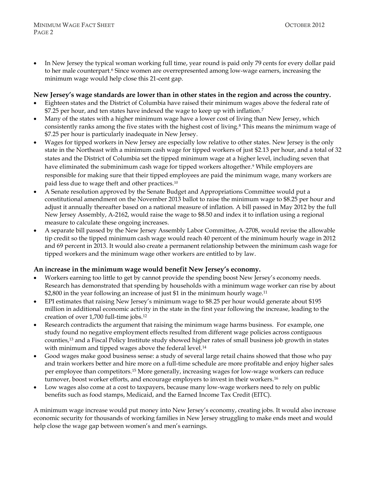In New Jersey the typical woman working full time, year round is paid only 79 cents for every dollar paid to her male counterpart.<sup>6</sup> Since women are overrepresented among low-wage earners, increasing the minimum wage would help close this 21-cent gap.

### **New Jersey's wage standards are lower than in other states in the region and across the country.**

- Eighteen states and the District of Columbia have raised their minimum wages above the federal rate of \$7.25 per hour, and ten states have indexed the wage to keep up with inflation. 7
- Many of the states with a higher minimum wage have a lower cost of living than New Jersey, which consistently ranks among the five states with the highest cost of living.<sup>8</sup> This means the minimum wage of \$7.25 per hour is particularly inadequate in New Jersey.
- Wages for tipped workers in New Jersey are especially low relative to other states. New Jersey is the only state in the Northeast with a minimum cash wage for tipped workers of just \$2.13 per hour, and a total of 32 states and the District of Columbia set the tipped minimum wage at a higher level, including seven that have eliminated the subminimum cash wage for tipped workers altogether.<sup>9</sup> While employers are responsible for making sure that their tipped employees are paid the minimum wage, many workers are paid less due to wage theft and other practices.<sup>10</sup>
- A Senate resolution approved by the Senate Budget and Appropriations Committee would put a constitutional amendment on the November 2013 ballot to raise the minimum wage to \$8.25 per hour and adjust it annually thereafter based on a national measure of inflation. A bill passed in May 2012 by the full New Jersey Assembly, A-2162, would raise the wage to \$8.50 and index it to inflation using a regional measure to calculate these ongoing increases.
- A separate bill passed by the New Jersey Assembly Labor Committee, A-2708, would revise the allowable tip credit so the tipped minimum cash wage would reach 40 percent of the minimum hourly wage in 2012 and 69 percent in 2013. It would also create a permanent relationship between the minimum cash wage for tipped workers and the minimum wage other workers are entitled to by law.

### **An increase in the minimum wage would benefit New Jersey's economy.**

- Workers earning too little to get by cannot provide the spending boost New Jersey's economy needs. Research has demonstrated that spending by households with a minimum wage worker can rise by about \$2,800 in the year following an increase of just \$1 in the minimum hourly wage.<sup>11</sup>
- EPI estimates that raising New Jersey's minimum wage to \$8.25 per hour would generate about \$195 million in additional economic activity in the state in the first year following the increase, leading to the creation of over 1,700 full-time jobs.<sup>12</sup>
- Research contradicts the argument that raising the minimum wage harms business. For example, one study found no negative employment effects resulted from different wage policies across contiguous counties,<sup>13</sup> and a Fiscal Policy Institute study showed higher rates of small business job growth in states with minimum and tipped wages above the federal level.<sup>14</sup>
- Good wages make good business sense: a study of several large retail chains showed that those who pay and train workers better and hire more on a full-time schedule are more profitable and enjoy higher sales per employee than competitors.<sup>15</sup> More generally, increasing wages for low-wage workers can reduce turnover, boost worker efforts, and encourage employers to invest in their workers.<sup>16</sup>
- Low wages also come at a cost to taxpayers, because many low-wage workers need to rely on public benefits such as food stamps, Medicaid, and the Earned Income Tax Credit (EITC).

A minimum wage increase would put money into New Jersey's economy, creating jobs. It would also increase economic security for thousands of working families in New Jersey struggling to make ends meet and would help close the wage gap between women's and men's earnings.